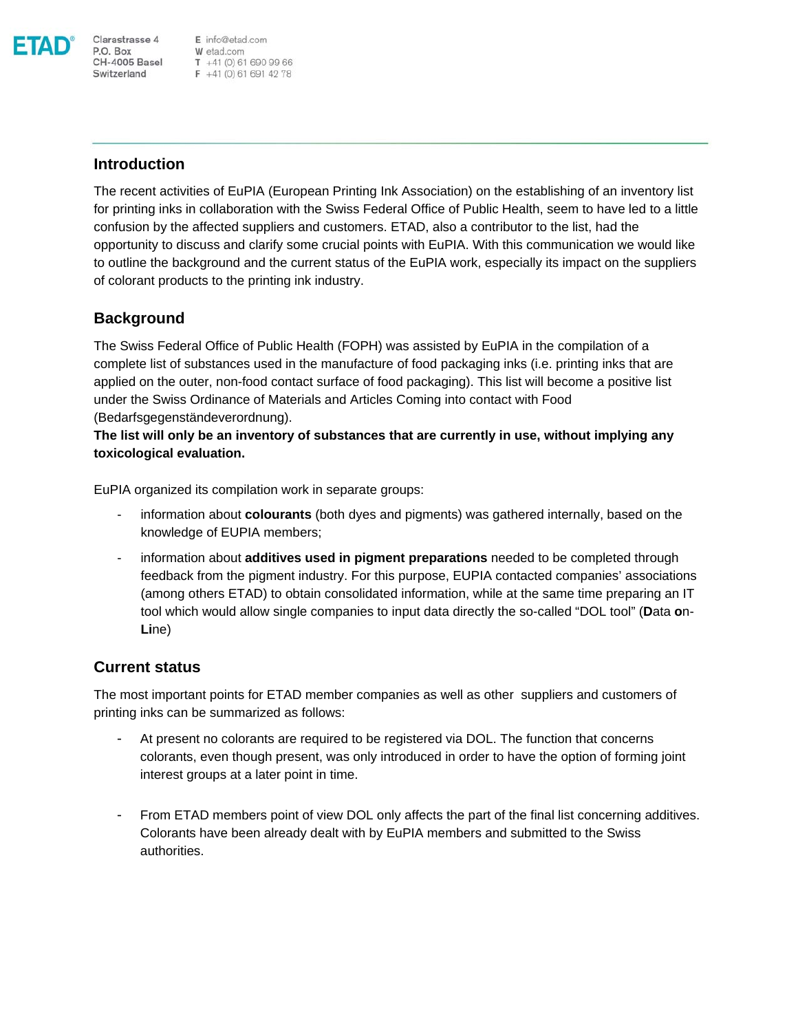

E info@etad.com **P.O. Box**<br> **CH-4005 Basel**<br> **CH-4005 Basel**<br> **CH-4005 Basel**<br> **CH-41** (0) 61 691 42 78

## **Introduction**

Clarastrasse 4

The recent activities of EuPIA (European Printing Ink Association) on the establishing of an inventory list for printing inks in collaboration with the Swiss Federal Office of Public Health, seem to have led to a little confusion by the affected suppliers and customers. ETAD, also a contributor to the list, had the opportunity to discuss and clarify some crucial points with EuPIA. With this communication we would like to outline the background and the current status of the EuPIA work, especially its impact on the suppliers of colorant products to the printing ink industry.

## **Background**

The Swiss Federal Office of Public Health (FOPH) was assisted by EuPIA in the compilation of a complete list of substances used in the manufacture of food packaging inks (i.e. printing inks that are applied on the outer, non-food contact surface of food packaging). This list will become a positive list under the Swiss Ordinance of Materials and Articles Coming into contact with Food (Bedarfsgegenständeverordnung).

**The list will only be an inventory of substances that are currently in use, without implying any toxicological evaluation.** 

EuPIA organized its compilation work in separate groups:

- information about **colourants** (both dyes and pigments) was gathered internally, based on the knowledge of EUPIA members;
- information about **additives used in pigment preparations** needed to be completed through feedback from the pigment industry. For this purpose, EUPIA contacted companies' associations (among others ETAD) to obtain consolidated information, while at the same time preparing an IT tool which would allow single companies to input data directly the so-called "DOL tool" (**D**ata **o**n-**Li**ne)

## **Current status**

The most important points for ETAD member companies as well as other suppliers and customers of printing inks can be summarized as follows:

- At present no colorants are required to be registered via DOL. The function that concerns colorants, even though present, was only introduced in order to have the option of forming joint interest groups at a later point in time.
- From ETAD members point of view DOL only affects the part of the final list concerning additives. Colorants have been already dealt with by EuPIA members and submitted to the Swiss authorities.